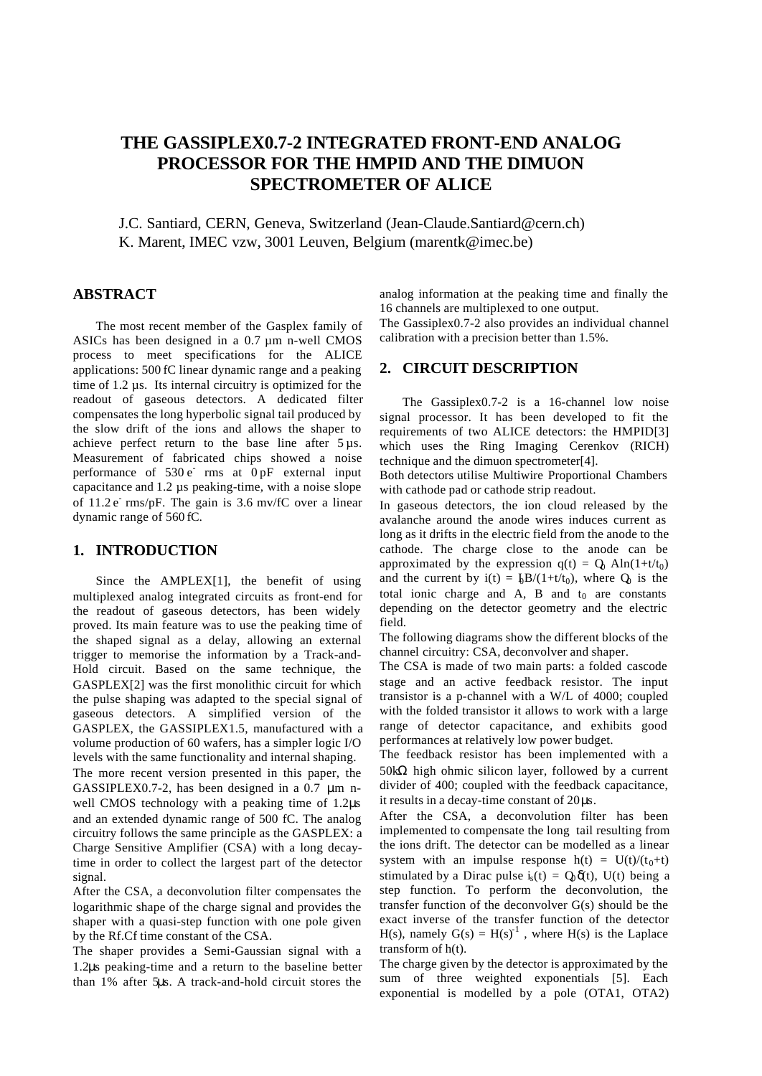# **THE GASSIPLEX0.7-2 INTEGRATED FRONT-END ANALOG PROCESSOR FOR THE HMPID AND THE DIMUON SPECTROMETER OF ALICE**

J.C. Santiard, CERN, Geneva, Switzerland (Jean-Claude.Santiard@cern.ch) K. Marent, IMEC vzw, 3001 Leuven, Belgium (marentk@imec.be)

# **ABSTRACT**

The most recent member of the Gasplex family of ASICs has been designed in a 0.7 µm n-well CMOS process to meet specifications for the ALICE applications: 500 fC linear dynamic range and a peaking time of 1.2 µs. Its internal circuitry is optimized for the readout of gaseous detectors. A dedicated filter compensates the long hyperbolic signal tail produced by the slow drift of the ions and allows the shaper to achieve perfect return to the base line after  $5 \mu s$ . Measurement of fabricated chips showed a noise performance of  $530 e^{\frac{1}{2}}$  rms at  $0 pF$  external input capacitance and 1.2 µs peaking-time, with a noise slope of 11.2 e rms/pF. The gain is 3.6 mv/fC over a linear dynamic range of 560 fC.

# **1. INTRODUCTION**

Since the AMPLEX[1], the benefit of using multiplexed analog integrated circuits as front-end for the readout of gaseous detectors, has been widely proved. Its main feature was to use the peaking time of the shaped signal as a delay, allowing an external trigger to memorise the information by a Track-and-Hold circuit. Based on the same technique, the GASPLEX[2] was the first monolithic circuit for which the pulse shaping was adapted to the special signal of gaseous detectors. A simplified version of the GASPLEX, the GASSIPLEX1.5, manufactured with a volume production of 60 wafers, has a simpler logic I/O levels with the same functionality and internal shaping.

The more recent version presented in this paper, the GASSIPLEX0.7-2, has been designed in a 0.7 μm nwell CMOS technology with a peaking time of 1.2μs and an extended dynamic range of 500 fC. The analog circuitry follows the same principle as the GASPLEX: a Charge Sensitive Amplifier (CSA) with a long decaytime in order to collect the largest part of the detector signal.

After the CSA, a deconvolution filter compensates the logarithmic shape of the charge signal and provides the shaper with a quasi-step function with one pole given by the Rf.Cf time constant of the CSA.

The shaper provides a Semi-Gaussian signal with a 1.2μs peaking-time and a return to the baseline better than 1% after 5μs. A track-and-hold circuit stores the analog information at the peaking time and finally the 16 channels are multiplexed to one output.

The Gassiplex0.7-2 also provides an individual channel calibration with a precision better than 1.5%.

# **2. CIRCUIT DESCRIPTION**

The Gassiplex0.7-2 is a 16-channel low noise signal processor. It has been developed to fit the requirements of two ALICE detectors: the HMPID[3] which uses the Ring Imaging Cerenkov (RICH) technique and the dimuon spectrometer[4].

Both detectors utilise Multiwire Proportional Chambers with cathode pad or cathode strip readout.

In gaseous detectors, the ion cloud released by the avalanche around the anode wires induces current as long as it drifts in the electric field from the anode to the cathode. The charge close to the anode can be approximated by the expression  $q(t) = Q_0 \text{ Aln}(1+t/t_0)$ and the current by  $i(t) = \frac{1}{2}B/(1+t/t_0)$ , where  $Q_0$  is the total ionic charge and A, B and  $t_0$  are constants depending on the detector geometry and the electric field.

The following diagrams show the different blocks of the channel circuitry: CSA, deconvolver and shaper.

The CSA is made of two main parts: a folded cascode stage and an active feedback resistor. The input transistor is a p-channel with a W/L of 4000; coupled with the folded transistor it allows to work with a large range of detector capacitance, and exhibits good performances at relatively low power budget.

The feedback resistor has been implemented with a 50kΩ high ohmic silicon layer, followed by a current divider of 400; coupled with the feedback capacitance, it results in a decay-time constant of 20μs.

After the CSA, a deconvolution filter has been implemented to compensate the long tail resulting from the ions drift. The detector can be modelled as a linear system with an impulse response  $h(t) = U(t)/(t_0+t)$ stimulated by a Dirac pulse  $i<sub>s</sub>(t) = Q_0 \delta(t)$ , U(t) being a step function. To perform the deconvolution, the transfer function of the deconvolver G(s) should be the exact inverse of the transfer function of the detector H(s), namely  $G(s) = H(s)^{-1}$ , where H(s) is the Laplace transform of h(t).

The charge given by the detector is approximated by the sum of three weighted exponentials [5]. Each exponential is modelled by a pole (OTA1, OTA2)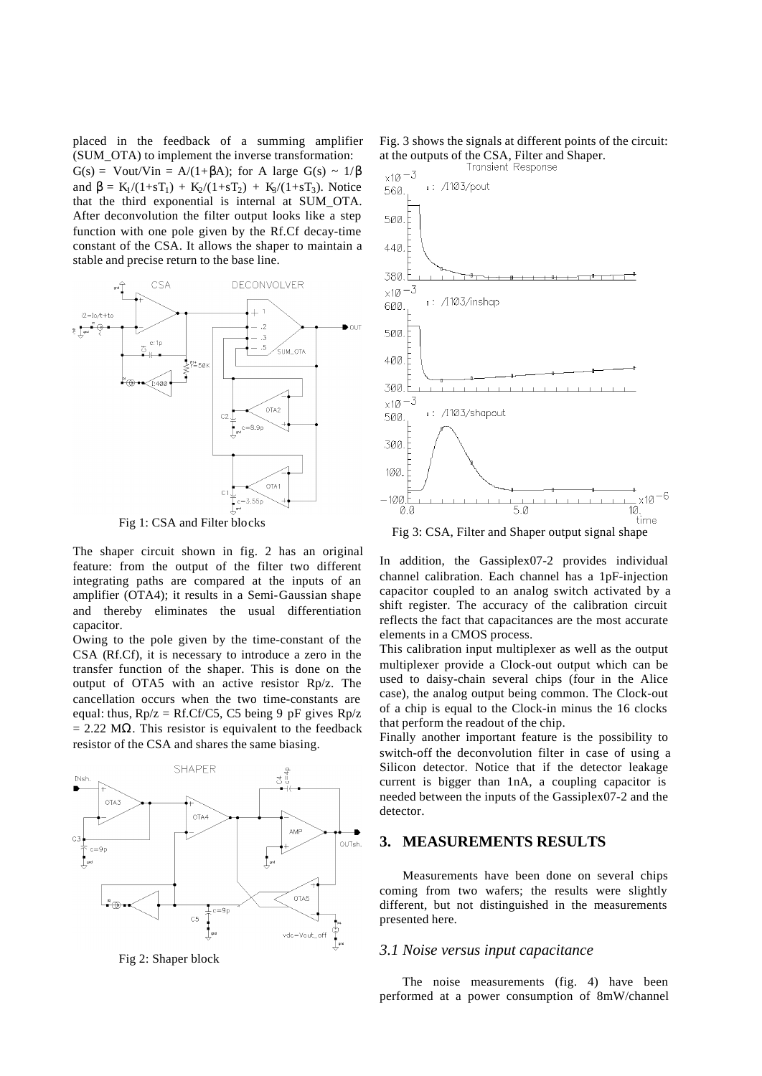placed in the feedback of a summing amplifier (SUM\_OTA) to implement the inverse transformation:  $G(s) = Vout/Vin = A/(1+\beta A)$ ; for A large  $G(s) \sim 1/\beta$ and  $\beta = K_1/(1+sT_1) + K_2/(1+sT_2) + K_3/(1+sT_3)$ . Notice that the third exponential is internal at SUM\_OTA. After deconvolution the filter output looks like a step function with one pole given by the Rf.Cf decay-time constant of the CSA. It allows the shaper to maintain a stable and precise return to the base line.



Fig 1: CSA and Filter blocks

The shaper circuit shown in fig. 2 has an original feature: from the output of the filter two different integrating paths are compared at the inputs of an amplifier (OTA4); it results in a Semi-Gaussian shape and thereby eliminates the usual differentiation capacitor.

Owing to the pole given by the time-constant of the CSA (Rf.Cf), it is necessary to introduce a zero in the transfer function of the shaper. This is done on the output of OTA5 with an active resistor Rp/z. The cancellation occurs when the two time-constants are equal: thus,  $Rp/z = Rf.Cf/C5$ , C5 being 9 pF gives  $Rp/z$  $= 2.22$  M $\Omega$ . This resistor is equivalent to the feedback resistor of the CSA and shares the same biasing.



Fig 2: Shaper block

Fig. 3 shows the signals at different points of the circuit: at the outputs of the CSA, Filter and Shaper.<br>Transient Response



Fig 3: CSA, Filter and Shaper output signal shape

In addition, the Gassiplex07-2 provides individual channel calibration. Each channel has a 1pF-injection capacitor coupled to an analog switch activated by a shift register. The accuracy of the calibration circuit reflects the fact that capacitances are the most accurate elements in a CMOS process.

This calibration input multiplexer as well as the output multiplexer provide a Clock-out output which can be used to daisy-chain several chips (four in the Alice case), the analog output being common. The Clock-out of a chip is equal to the Clock-in minus the 16 clocks that perform the readout of the chip.

Finally another important feature is the possibility to switch-off the deconvolution filter in case of using a Silicon detector. Notice that if the detector leakage current is bigger than 1nA, a coupling capacitor is needed between the inputs of the Gassiplex07-2 and the detector.

#### **3. MEASUREMENTS RESULTS**

Measurements have been done on several chips coming from two wafers; the results were slightly different, but not distinguished in the measurements presented here.

#### *3.1 Noise versus input capacitance*

The noise measurements (fig. 4) have been performed at a power consumption of 8mW/channel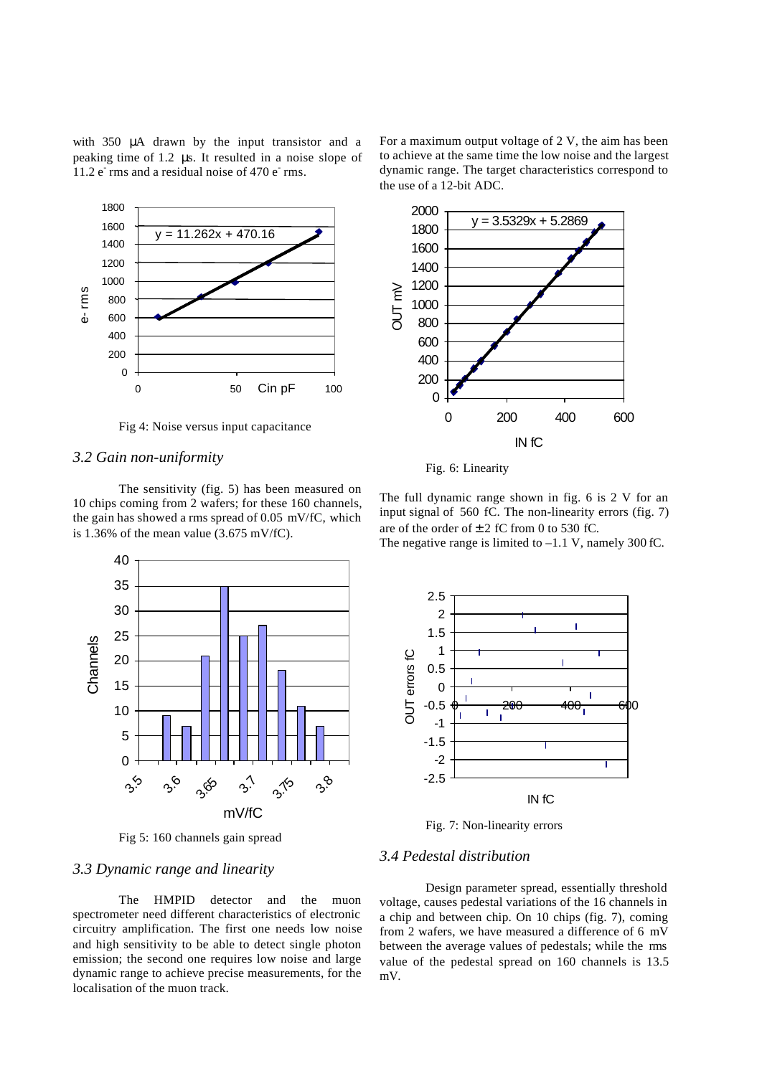with 350 μA drawn by the input transistor and a peaking time of 1.2 μs. It resulted in a noise slope of  $11.2 e<sup>2</sup>$  rms and a residual noise of 470  $e<sup>3</sup>$  rms.



Fig 4: Noise versus input capacitance

#### *3.2 Gain non-uniformity*

The sensitivity (fig. 5) has been measured on 10 chips coming from 2 wafers; for these 160 channels, the gain has showed a rms spread of 0.05 mV/fC, which is 1.36% of the mean value  $(3.675 \text{ mV/fC})$ .



Fig 5: 160 channels gain spread

## *3.3 Dynamic range and linearity*

The HMPID detector and the muon spectrometer need different characteristics of electronic circuitry amplification. The first one needs low noise and high sensitivity to be able to detect single photon emission; the second one requires low noise and large dynamic range to achieve precise measurements, for the localisation of the muon track.

For a maximum output voltage of 2 V, the aim has been to achieve at the same time the low noise and the largest dynamic range. The target characteristics correspond to the use of a 12-bit ADC.



Fig. 6: Linearity

The full dynamic range shown in fig. 6 is 2 V for an input signal of 560 fC. The non-linearity errors (fig. 7) are of the order of  $\pm 2$  fC from 0 to 530 fC.

The negative range is limited to  $-1.1$  V, namely 300 fC.



Fig. 7: Non-linearity errors

# *3.4 Pedestal distribution*

Design parameter spread, essentially threshold voltage, causes pedestal variations of the 16 channels in a chip and between chip. On 10 chips (fig. 7), coming from 2 wafers, we have measured a difference of 6 mV between the average values of pedestals; while the rms value of the pedestal spread on 160 channels is 13.5 mV.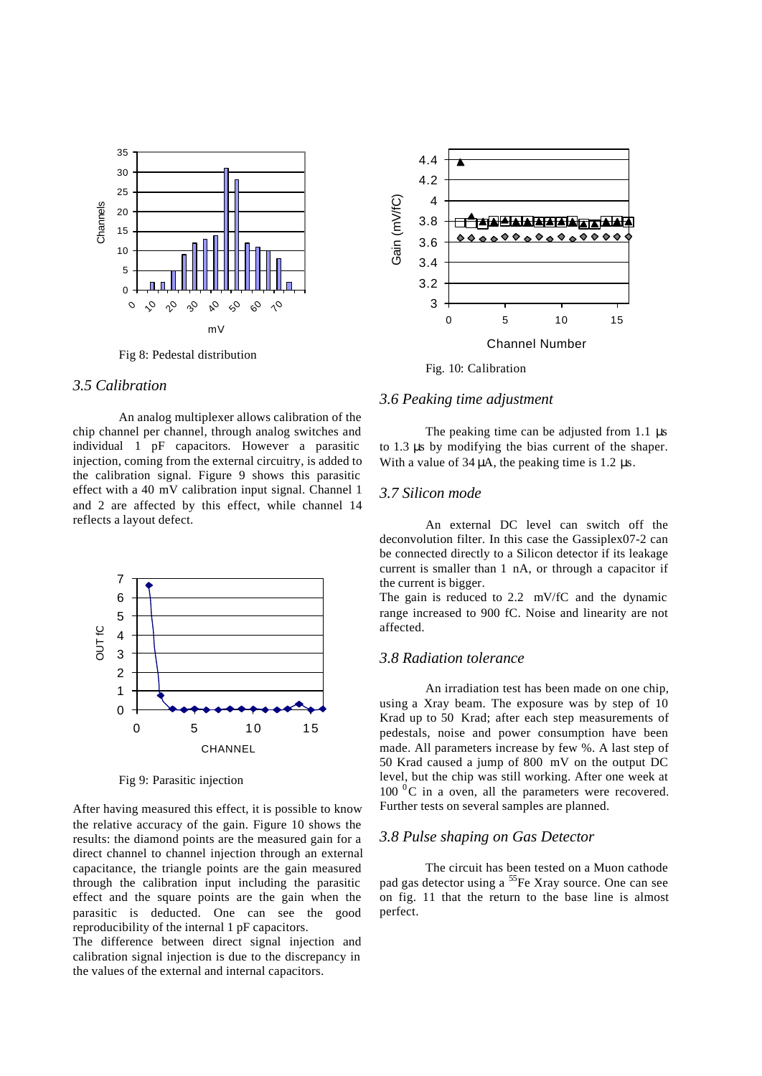

Fig 8: Pedestal distribution

# *3.5 Calibration*

An analog multiplexer allows calibration of the chip channel per channel, through analog switches and individual 1 pF capacitors. However a parasitic injection, coming from the external circuitry, is added to the calibration signal. Figure 9 shows this parasitic effect with a 40 mV calibration input signal. Channel 1 and 2 are affected by this effect, while channel 14 reflects a layout defect.



Fig 9: Parasitic injection

After having measured this effect, it is possible to know the relative accuracy of the gain. Figure 10 shows the results: the diamond points are the measured gain for a direct channel to channel injection through an external capacitance, the triangle points are the gain measured through the calibration input including the parasitic effect and the square points are the gain when the parasitic is deducted. One can see the good reproducibility of the internal 1 pF capacitors.

The difference between direct signal injection and calibration signal injection is due to the discrepancy in the values of the external and internal capacitors.



Fig. 10: Calibration

#### *3.6 Peaking time adjustment*

The peaking time can be adjusted from 1.1 μs to 1.3 μs by modifying the bias current of the shaper. With a value of  $34 \mu$ A, the peaking time is 1.2  $\mu$ s.

#### *3.7 Silicon mode*

An external DC level can switch off the deconvolution filter. In this case the Gassiplex07-2 can be connected directly to a Silicon detector if its leakage current is smaller than 1 nA, or through a capacitor if the current is bigger.

The gain is reduced to 2.2 mV/fC and the dynamic range increased to 900 fC. Noise and linearity are not affected.

# *3.8 Radiation tolerance*

An irradiation test has been made on one chip, using a Xray beam. The exposure was by step of 10 Krad up to 50 Krad; after each step measurements of pedestals, noise and power consumption have been made. All parameters increase by few %. A last step of 50 Krad caused a jump of 800 mV on the output DC level, but the chip was still working. After one week at  $100<sup>0</sup>C$  in a oven, all the parameters were recovered. Further tests on several samples are planned.

#### *3.8 Pulse shaping on Gas Detector*

The circuit has been tested on a Muon cathode pad gas detector using a <sup>55</sup>Fe Xray source. One can see on fig. 11 that the return to the base line is almost perfect.